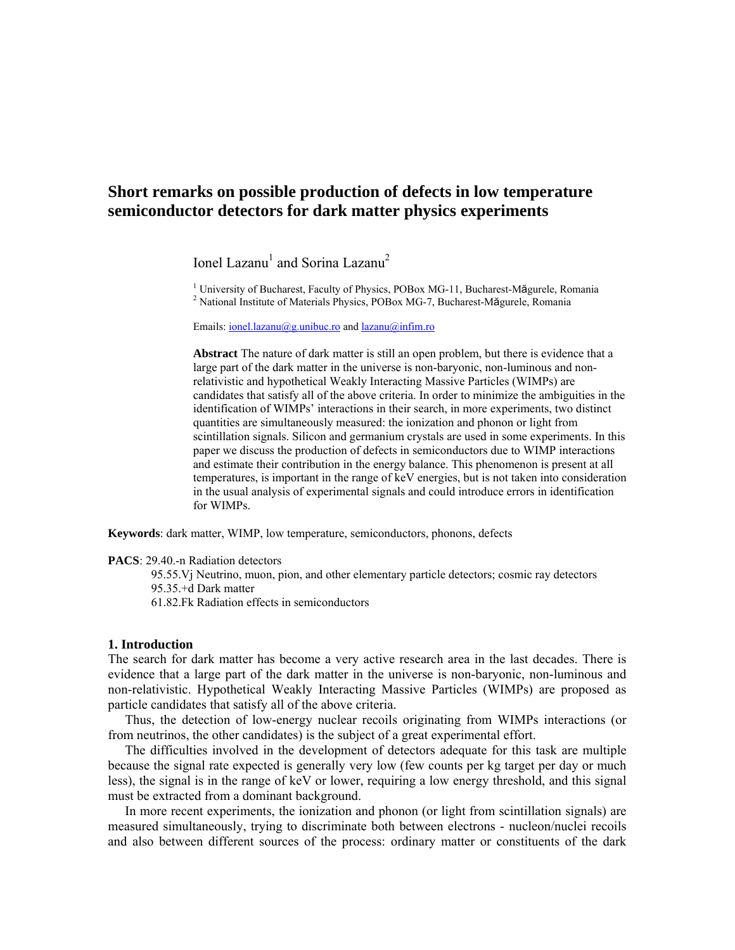# **Short remarks on possible production of defects in low temperature semiconductor detectors for dark matter physics experiments**

Ionel Lazanu<sup>1</sup> and Sorina Lazanu<sup>2</sup>

<sup>1</sup> University of Bucharest, Faculty of Physics, POBox MG-11, Bucharest-Măgurele, Romania  $\frac{2}{3}$  National Institute of Materials Physics, POBox MG-7, Bucharest Măgurele, Romania  $2$  National Institute of Materials Physics, POBox MG-7, Bucharest-Măgurele, Romania

Emails: [ionel.lazanu@g.unibuc.ro](mailto:ionel.lazanu@g.unibuc.ro) and [lazanu@infim.ro](mailto:lazanu@infim.ro)

**Abstract** The nature of dark matter is still an open problem, but there is evidence that a large part of the dark matter in the universe is non-baryonic, non-luminous and nonrelativistic and hypothetical Weakly Interacting Massive Particles (WIMPs) are candidates that satisfy all of the above criteria. In order to minimize the ambiguities in the identification of WIMPs' interactions in their search, in more experiments, two distinct quantities are simultaneously measured: the ionization and phonon or light from scintillation signals. Silicon and germanium crystals are used in some experiments. In this paper we discuss the production of defects in semiconductors due to WIMP interactions and estimate their contribution in the energy balance. This phenomenon is present at all temperatures, is important in the range of keV energies, but is not taken into consideration in the usual analysis of experimental signals and could introduce errors in identification for WIMPs.

**Keywords**: dark matter, WIMP, low temperature, semiconductors, phonons, defects

**PACS**: 29.40.-n Radiation detectors

 95.55.Vj Neutrino, muon, pion, and other elementary particle detectors; cosmic ray detectors 95.35.+d Dark matter

61.82.Fk Radiation effects in semiconductors

### **1. Introduction**

The search for dark matter has become a very active research area in the last decades. There is evidence that a large part of the dark matter in the universe is non-baryonic, non-luminous and non-relativistic. Hypothetical Weakly Interacting Massive Particles (WIMPs) are proposed as particle candidates that satisfy all of the above criteria.

 Thus, the detection of low-energy nuclear recoils originating from WIMPs interactions (or from neutrinos, the other candidates) is the subject of a great experimental effort.

 The difficulties involved in the development of detectors adequate for this task are multiple because the signal rate expected is generally very low (few counts per kg target per day or much less), the signal is in the range of keV or lower, requiring a low energy threshold, and this signal must be extracted from a dominant background.

 In more recent experiments, the ionization and phonon (or light from scintillation signals) are measured simultaneously, trying to discriminate both between electrons - nucleon/nuclei recoils and also between different sources of the process: ordinary matter or constituents of the dark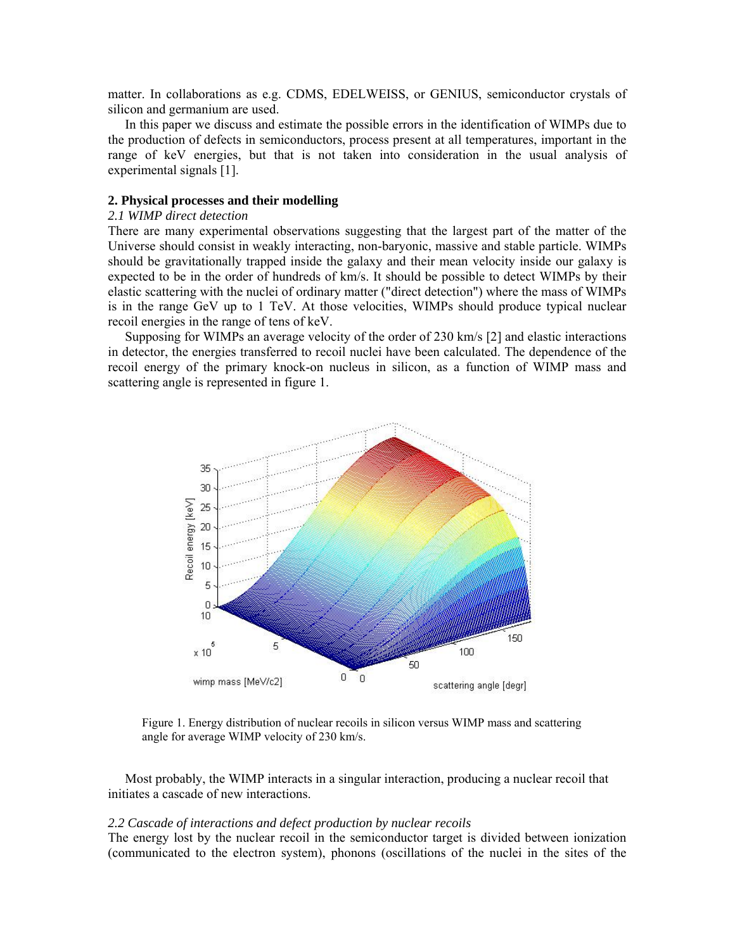matter. In collaborations as e.g. CDMS, EDELWEISS, or GENIUS, semiconductor crystals of silicon and germanium are used.

 In this paper we discuss and estimate the possible errors in the identification of WIMPs due to the production of defects in semiconductors, process present at all temperatures, important in the range of keV energies, but that is not taken into consideration in the usual analysis of experimental signals [1].

# **2. Physical processes and their modelling**

# *2.1 WIMP direct detection*

There are many experimental observations suggesting that the largest part of the matter of the Universe should consist in weakly interacting, non-baryonic, massive and stable particle. WIMPs should be gravitationally trapped inside the galaxy and their mean velocity inside our galaxy is expected to be in the order of hundreds of km/s. It should be possible to detect WIMPs by their elastic scattering with the nuclei of ordinary matter ("direct detection") where the mass of WIMPs is in the range GeV up to 1 TeV. At those velocities, WIMPs should produce typical nuclear recoil energies in the range of tens of keV.

 Supposing for WIMPs an average velocity of the order of 230 km/s [2] and elastic interactions in detector, the energies transferred to recoil nuclei have been calculated. The dependence of the recoil energy of the primary knock-on nucleus in silicon, as a function of WIMP mass and scattering angle is represented in figure 1.



Figure 1. Energy distribution of nuclear recoils in silicon versus WIMP mass and scattering angle for average WIMP velocity of 230 km/s.

 Most probably, the WIMP interacts in a singular interaction, producing a nuclear recoil that initiates a cascade of new interactions.

#### *2.2 Cascade of interactions and defect production by nuclear recoils*

The energy lost by the nuclear recoil in the semiconductor target is divided between ionization (communicated to the electron system), phonons (oscillations of the nuclei in the sites of the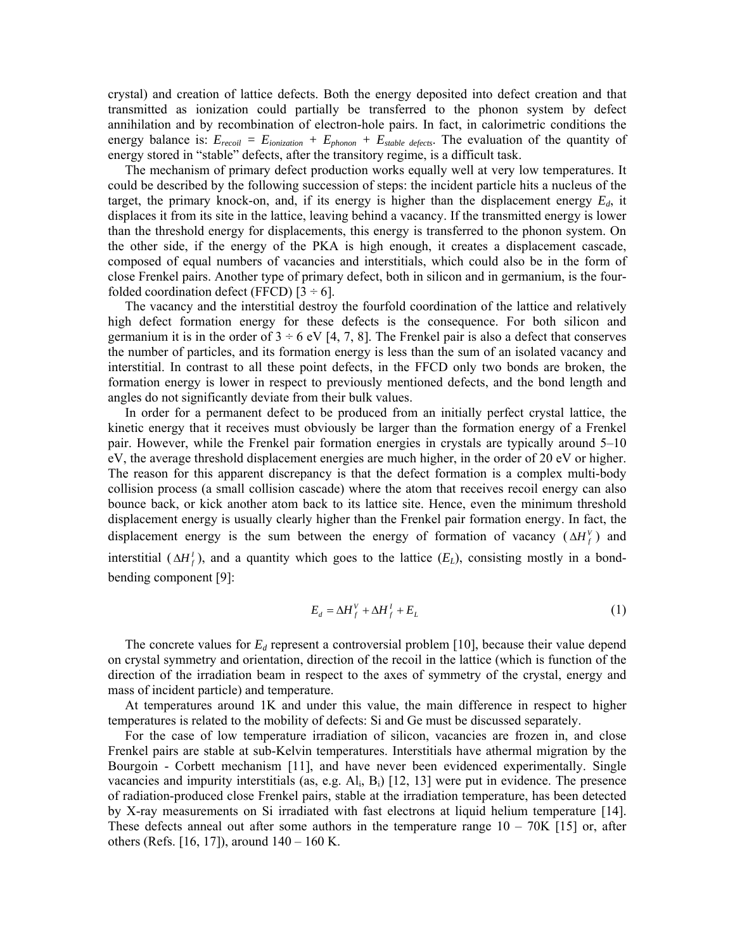crystal) and creation of lattice defects. Both the energy deposited into defect creation and that transmitted as ionization could partially be transferred to the phonon system by defect annihilation and by recombination of electron-hole pairs. In fact, in calorimetric conditions the energy balance is: *Erecoil = Eionization + Ephonon + Estable defects*. The evaluation of the quantity of energy stored in "stable" defects, after the transitory regime, is a difficult task.

 The mechanism of primary defect production works equally well at very low temperatures. It could be described by the following succession of steps: the incident particle hits a nucleus of the target, the primary knock-on, and, if its energy is higher than the displacement energy  $E_d$ , it displaces it from its site in the lattice, leaving behind a vacancy. If the transmitted energy is lower than the threshold energy for displacements, this energy is transferred to the phonon system. On the other side, if the energy of the PKA is high enough, it creates a displacement cascade, composed of equal numbers of vacancies and interstitials, which could also be in the form of close Frenkel pairs. Another type of primary defect, both in silicon and in germanium, is the fourfolded coordination defect (FFCD)  $[3 \div 6]$ .

 The vacancy and the interstitial destroy the fourfold coordination of the lattice and relatively high defect formation energy for these defects is the consequence. For both silicon and germanium it is in the order of  $3 \div 6$  eV [4, 7, 8]. The Frenkel pair is also a defect that conserves the number of particles, and its formation energy is less than the sum of an isolated vacancy and interstitial. In contrast to all these point defects, in the FFCD only two bonds are broken, the formation energy is lower in respect to previously mentioned defects, and the bond length and angles do not significantly deviate from their bulk values.

 In order for a permanent defect to be produced from an initially perfect crystal lattice, the kinetic energy that it receives must obviously be larger than the formation energy of a Frenkel pair. However, while the Frenkel pair formation energies in crystals are typically around 5–10 eV, the average threshold displacement energies are much higher, in the order of 20 eV or higher. The reason for this apparent discrepancy is that the defect formation is a complex multi-body collision process (a small collision cascade) where the atom that receives recoil energy can also bounce back, or kick another atom back to its lattice site. Hence, even the minimum threshold displacement energy is usually clearly higher than the Frenkel pair formation energy. In fact, the displacement energy is the sum between the energy of formation of vacancy  $(\Delta H_f^V)$  and interstitial ( $\Delta H_f^I$ ), and a quantity which goes to the lattice  $(E_L)$ , consisting mostly in a bondbending component [9]:

$$
E_d = \Delta H_f^V + \Delta H_f^I + E_L \tag{1}
$$

The concrete values for  $E_d$  represent a controversial problem [10], because their value depend on crystal symmetry and orientation, direction of the recoil in the lattice (which is function of the direction of the irradiation beam in respect to the axes of symmetry of the crystal, energy and mass of incident particle) and temperature.

 At temperatures around 1K and under this value, the main difference in respect to higher temperatures is related to the mobility of defects: Si and Ge must be discussed separately.

 For the case of low temperature irradiation of silicon, vacancies are frozen in, and close Frenkel pairs are stable at sub-Kelvin temperatures. Interstitials have athermal migration by the Bourgoin - Corbett mechanism [11], and have never been evidenced experimentally. Single vacancies and impurity interstitials (as, e.g. Al<sub>i</sub>, B<sub>i</sub>) [12, 13] were put in evidence. The presence of radiation-produced close Frenkel pairs, stable at the irradiation temperature, has been detected by X-ray measurements on Si irradiated with fast electrons at liquid helium temperature [14]. These defects anneal out after some authors in the temperature range  $10 - 70K$  [15] or, after others (Refs. [16, 17]), around 140 – 160 K.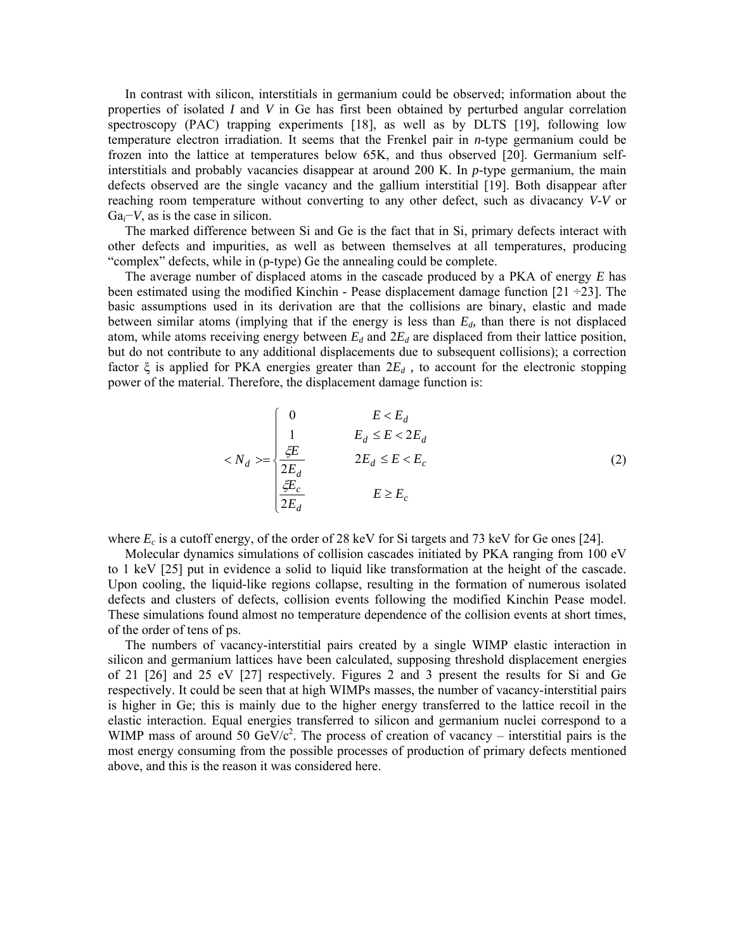In contrast with silicon, interstitials in germanium could be observed; information about the properties of isolated *I* and *V* in Ge has first been obtained by perturbed angular correlation spectroscopy (PAC) trapping experiments [18], as well as by DLTS [19], following low temperature electron irradiation. It seems that the Frenkel pair in *n*-type germanium could be frozen into the lattice at temperatures below 65K, and thus observed [20]. Germanium selfinterstitials and probably vacancies disappear at around 200 K. In *p*-type germanium, the main defects observed are the single vacancy and the gallium interstitial [19]. Both disappear after reaching room temperature without converting to any other defect, such as divacancy *V*-*V* or Ga*i*−*V*, as is the case in silicon.

 The marked difference between Si and Ge is the fact that in Si, primary defects interact with other defects and impurities, as well as between themselves at all temperatures, producing "complex" defects, while in (p-type) Ge the annealing could be complete.

 The average number of displaced atoms in the cascade produced by a PKA of energy *E* has been estimated using the modified Kinchin - Pease displacement damage function  $[21 \div 23]$ . The basic assumptions used in its derivation are that the collisions are binary, elastic and made between similar atoms (implying that if the energy is less than  $E<sub>d</sub>$ , than there is not displaced atom, while atoms receiving energy between  $E_d$  and  $2E_d$  are displaced from their lattice position, but do not contribute to any additional displacements due to subsequent collisions); a correction factor  $\xi$  is applied for PKA energies greater than  $2E_d$ , to account for the electronic stopping power of the material. Therefore, the displacement damage function is:

$$
\langle N_d \rangle = \begin{cases}\n0 & E < E_d \\
\frac{1}{2E_d} & E_d \le E < 2E_d \\
\frac{2E_d}{2E_d} & 2E_d \le E < E_c \\
\frac{2E_c}{2E_d} & E \ge E_c\n\end{cases} \tag{2}
$$

where  $E_c$  is a cutoff energy, of the order of 28 keV for Si targets and 73 keV for Ge ones [24].

 Molecular dynamics simulations of collision cascades initiated by PKA ranging from 100 eV to 1 keV [25] put in evidence a solid to liquid like transformation at the height of the cascade. Upon cooling, the liquid-like regions collapse, resulting in the formation of numerous isolated defects and clusters of defects, collision events following the modified Kinchin Pease model. These simulations found almost no temperature dependence of the collision events at short times, of the order of tens of ps.

 The numbers of vacancy-interstitial pairs created by a single WIMP elastic interaction in silicon and germanium lattices have been calculated, supposing threshold displacement energies of 21 [26] and 25 eV [27] respectively. Figures 2 and 3 present the results for Si and Ge respectively. It could be seen that at high WIMPs masses, the number of vacancy-interstitial pairs is higher in Ge; this is mainly due to the higher energy transferred to the lattice recoil in the elastic interaction. Equal energies transferred to silicon and germanium nuclei correspond to a WIMP mass of around 50 GeV/ $c^2$ . The process of creation of vacancy – interstitial pairs is the most energy consuming from the possible processes of production of primary defects mentioned above, and this is the reason it was considered here.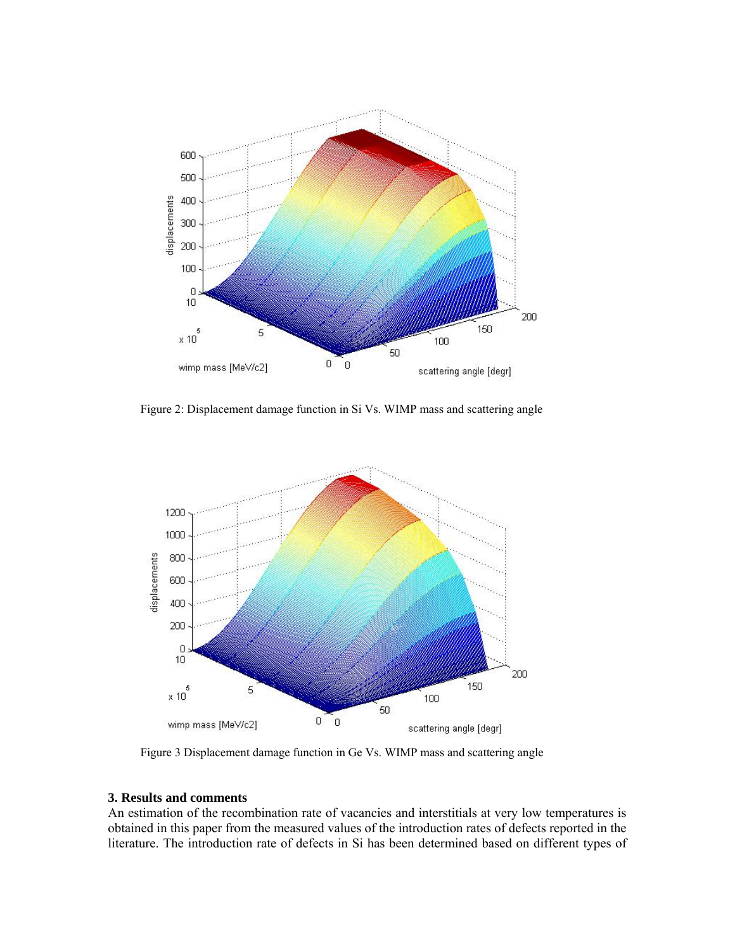

Figure 2: Displacement damage function in Si Vs. WIMP mass and scattering angle



Figure 3 Displacement damage function in Ge Vs. WIMP mass and scattering angle

# **3. Results and comments**

An estimation of the recombination rate of vacancies and interstitials at very low temperatures is obtained in this paper from the measured values of the introduction rates of defects reported in the literature. The introduction rate of defects in Si has been determined based on different types of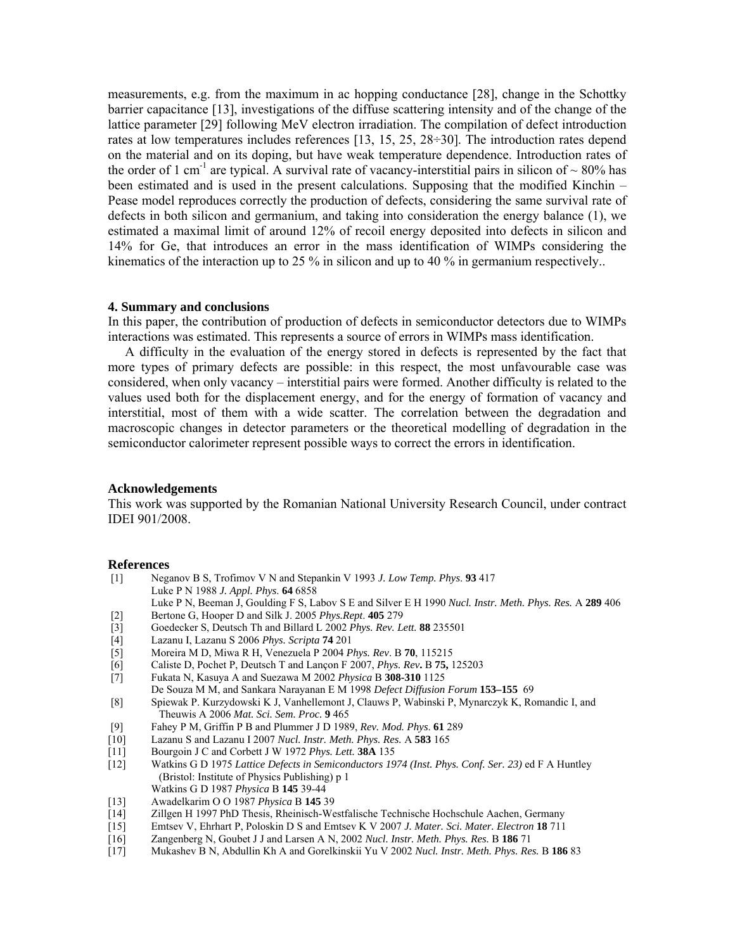measurements, e.g. from the maximum in ac hopping conductance [28], change in the Schottky barrier capacitance [13], investigations of the diffuse scattering intensity and of the change of the lattice parameter [29] following MeV electron irradiation. The compilation of defect introduction rates at low temperatures includes references [13, 15, 25, 28÷30]. The introduction rates depend on the material and on its doping, but have weak temperature dependence. Introduction rates of the order of 1 cm<sup>-1</sup> are typical. A survival rate of vacancy-interstitial pairs in silicon of  $\sim 80\%$  has been estimated and is used in the present calculations. Supposing that the modified Kinchin – Pease model reproduces correctly the production of defects, considering the same survival rate of defects in both silicon and germanium, and taking into consideration the energy balance (1), we estimated a maximal limit of around 12% of recoil energy deposited into defects in silicon and 14% for Ge, that introduces an error in the mass identification of WIMPs considering the kinematics of the interaction up to 25 % in silicon and up to 40 % in germanium respectively..

### **4. Summary and conclusions**

In this paper, the contribution of production of defects in semiconductor detectors due to WIMPs interactions was estimated. This represents a source of errors in WIMPs mass identification.

 A difficulty in the evaluation of the energy stored in defects is represented by the fact that more types of primary defects are possible: in this respect, the most unfavourable case was considered, when only vacancy – interstitial pairs were formed. Another difficulty is related to the values used both for the displacement energy, and for the energy of formation of vacancy and interstitial, most of them with a wide scatter. The correlation between the degradation and macroscopic changes in detector parameters or the theoretical modelling of degradation in the semiconductor calorimeter represent possible ways to correct the errors in identification.

## **Acknowledgements**

This work was supported by the Romanian National University Research Council, under contract IDEI 901/2008.

#### **References**

- [1] Neganov B S, Trofimov V N and Stepankin V 1993 *J. Low Temp. Phys*. **93** 417 Luke P N 1988 *J. Appl. Phys*. **64** 6858 Luke P N, Beeman J, Goulding F S, Labov S E and Silver E H 1990 *Nucl. Instr. Meth. Phys. Res.* A **289** 406
- 
- [2] Bertone G, Hooper D and Silk J. 2005 *Phys. Rept*. **405** 279<br>
[3] Goedecker S, Deutsch Th and Billard L 2002 *Phys. Rev. Let*
- [4] Lazanu I, Lazanu S 2006 *Phys. Scripta* **74** 201
- [3] Goedecker S, Deutsch Th and Billard L 2002 *Phys. Rev. Lett.* **88** 235501 [5] Moreira M D, Miwa R H, Venezuela P 2004 *Phys. Rev*. B **70**, 115215
- [6] [Caliste](http://scitation.aip.org/vsearch/servlet/VerityServlet?KEY=ALL&possible1=Caliste%2C+Damien&possible1zone=author&maxdisp=25&smode=strresults&aqs=true) D, [Pochet](http://scitation.aip.org/vsearch/servlet/VerityServlet?KEY=ALL&possible1=Pochet%2C+Pascal&possible1zone=author&maxdisp=25&smode=strresults&aqs=true) P, [Deutsch](http://scitation.aip.org/vsearch/servlet/VerityServlet?KEY=ALL&possible1=Deutsch%2C+Thierry&possible1zone=author&maxdisp=25&smode=strresults&aqs=true) T and [Lançon](http://scitation.aip.org/vsearch/servlet/VerityServlet?KEY=ALL&possible1=Lancon%2C+Frederic&possible1zone=author&maxdisp=25&smode=strresults&aqs=true) F 2007, *Phys. Rev***.** B **75,** 125203
- [7] Fukata N, Kasuya A and Suezawa M 2002 *Physica* B **308-310** 1125
- De Souza M M, and Sankara Narayanan E M 1998 *Defect Diffusion Forum* **153–155** 69
- [8] Spiewak P. Kurzydowski K J, Vanhellemont J, Clauws P, Wabinski P, Mynarczyk K, Romandic I, and Theuwis A 2006 *Mat. Sci. Sem. Proc.* **9** 465
- [9] Fahey P M, Griffin P B and Plummer J D 1989, *Rev. Mod. Phys*. **61** 289
- [10] Lazanu S and Lazanu I 2007 *Nucl. Instr. Meth. Phys. Res.* A **583** 165
- [11] Bourgoin J C and Corbett J W 1972 *Phys. Lett.* **38A** 135
- Watkins G D 1975 Lattice Defects in Semiconductors 1974 (Inst. Phys. Conf. Ser. 23) ed F A Huntley (Bristol: Institute of Physics Publishing) p 1 Watkins G D 1987 *Physica* B **145** 39-44
- [13] Awadelkarim O O 1987 *Physica* B **145** 39
- [14] Zillgen H 1997 PhD Thesis, Rheinisch-Westfalische Technische Hochschule Aachen, Germany
- [15] Emtsev V, Ehrhart P, Poloskin D S and Emtsev K V 2007 *J. Mater. Sci. Mater. Electron* **18** 711
- [16] Zangenberg N, Goubet J J and Larsen A N, 2002 *Nucl. Instr. Meth. Phys. Res.* B **186** 71
- [17] Mukashev B N, Abdullin Kh A and Gorelkinskii Yu V 2002 *Nucl. Instr. Meth. Phys. Res.* B **186** 83